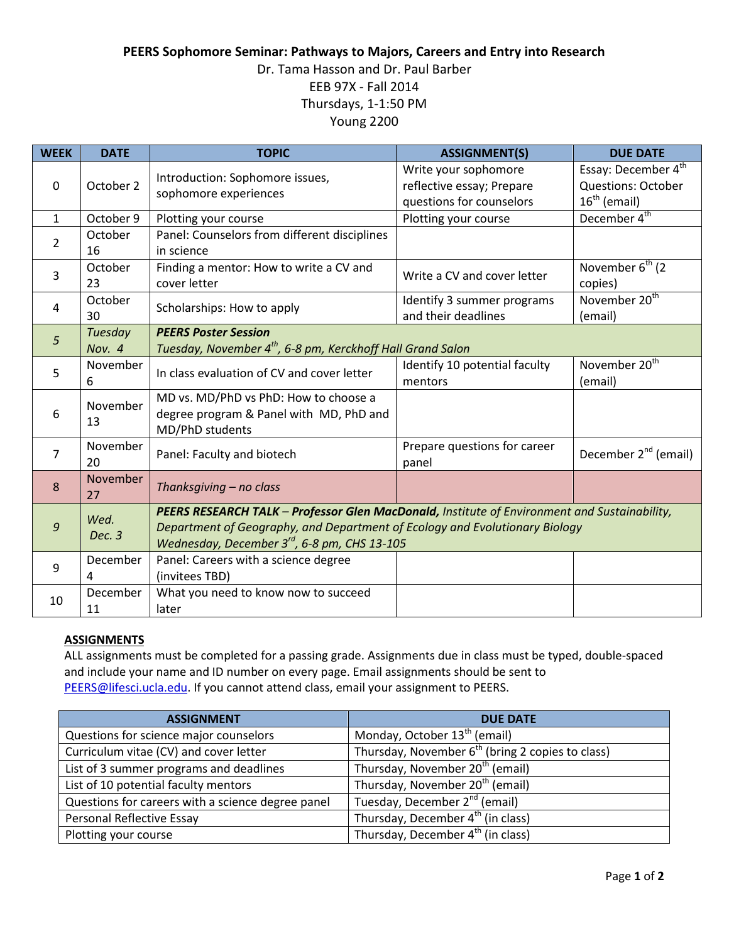## **PEERS Sophomore Seminar: Pathways to Majors, Careers and Entry into Research**

# Dr. Tama Hasson and Dr. Paul Barber EEB 97X - Fall 2014 Thursdays, 1-1:50 PM Young 2200

| <b>WEEK</b>    | <b>DATE</b>       | <b>TOPIC</b>                                                                                                                                                                                                               | <b>ASSIGNMENT(S)</b>                                                          | <b>DUE DATE</b>                                                                |
|----------------|-------------------|----------------------------------------------------------------------------------------------------------------------------------------------------------------------------------------------------------------------------|-------------------------------------------------------------------------------|--------------------------------------------------------------------------------|
| $\mathbf 0$    | October 2         | Introduction: Sophomore issues,<br>sophomore experiences                                                                                                                                                                   | Write your sophomore<br>reflective essay; Prepare<br>questions for counselors | Essay: December 4 <sup>th</sup><br><b>Questions: October</b><br>$16th$ (email) |
| $\mathbf{1}$   | October 9         | Plotting your course                                                                                                                                                                                                       | Plotting your course                                                          | December 4 <sup>th</sup>                                                       |
| 2              | October<br>16     | Panel: Counselors from different disciplines<br>in science                                                                                                                                                                 |                                                                               |                                                                                |
| 3              | October<br>23     | Finding a mentor: How to write a CV and<br>cover letter                                                                                                                                                                    | Write a CV and cover letter                                                   | November $6^{th}$ (2)<br>copies)                                               |
| 4              | October<br>30     | Scholarships: How to apply                                                                                                                                                                                                 | Identify 3 summer programs<br>and their deadlines                             | November 20 <sup>th</sup><br>(email)                                           |
| 5              | Tuesday<br>Nov. 4 | <b>PEERS Poster Session</b><br>Tuesday, November 4 <sup>th</sup> , 6-8 pm, Kerckhoff Hall Grand Salon                                                                                                                      |                                                                               |                                                                                |
| 5              | November<br>6     | In class evaluation of CV and cover letter                                                                                                                                                                                 | Identify 10 potential faculty<br>mentors                                      | November 20 <sup>th</sup><br>(email)                                           |
| 6              | November<br>13    | MD vs. MD/PhD vs PhD: How to choose a<br>degree program & Panel with MD, PhD and<br>MD/PhD students                                                                                                                        |                                                                               |                                                                                |
| 7              | November<br>20    | Panel: Faculty and biotech                                                                                                                                                                                                 | Prepare questions for career<br>panel                                         | December 2 <sup>nd</sup> (email)                                               |
| 8              | November<br>27    | Thanksgiving - no class                                                                                                                                                                                                    |                                                                               |                                                                                |
| $\mathfrak{g}$ | Wed.<br>Dec. 3    | PEERS RESEARCH TALK - Professor Glen MacDonald, Institute of Environment and Sustainability,<br>Department of Geography, and Department of Ecology and Evolutionary Biology<br>Wednesday, December 3rd, 6-8 pm, CHS 13-105 |                                                                               |                                                                                |
| 9              | December<br>4     | Panel: Careers with a science degree<br>(invitees TBD)                                                                                                                                                                     |                                                                               |                                                                                |
| 10             | December<br>11    | What you need to know now to succeed<br>later                                                                                                                                                                              |                                                                               |                                                                                |

### **ASSIGNMENTS**

ALL assignments must be completed for a passing grade. Assignments due in class must be typed, double-spaced and include your name and ID number on every page. Email assignments should be sent to [PEERS@lifesci.ucla.edu.](mailto:PEERS@lifesci.ucla.edu) If you cannot attend class, email your assignment to PEERS.

| <b>ASSIGNMENT</b>                                 | <b>DUE DATE</b>                                    |
|---------------------------------------------------|----------------------------------------------------|
| Questions for science major counselors            | Monday, October 13 <sup>th</sup> (email)           |
| Curriculum vitae (CV) and cover letter            | Thursday, November $6th$ (bring 2 copies to class) |
| List of 3 summer programs and deadlines           | Thursday, November 20 <sup>th</sup> (email)        |
| List of 10 potential faculty mentors              | Thursday, November 20 <sup>th</sup> (email)        |
| Questions for careers with a science degree panel | Tuesday, December 2 <sup>nd</sup> (email)          |
| Personal Reflective Essay                         | Thursday, December 4 <sup>th</sup> (in class)      |
| Plotting your course                              | Thursday, December 4 <sup>th</sup> (in class)      |